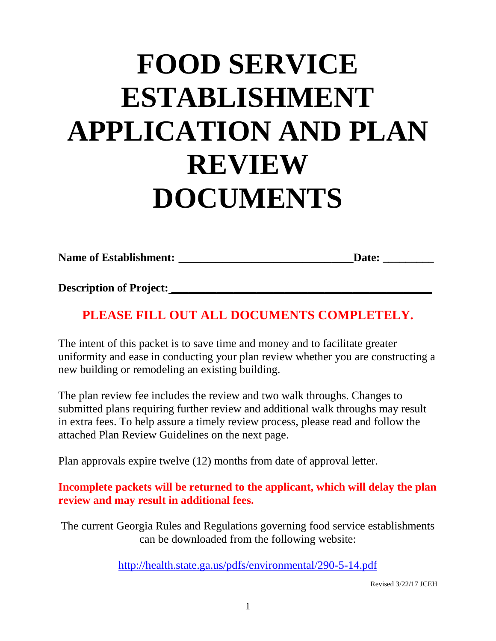# **FOOD SERVICE ESTABLISHMENT APPLICATION AND PLAN REVIEW DOCUMENTS**

**Name of Establishment: Date: Date:** 

**Description of Project: \_\_\_\_\_\_\_\_\_\_\_\_\_\_\_\_\_\_\_\_\_\_\_\_\_\_\_\_\_\_\_\_\_\_\_\_\_\_\_\_\_\_\_\_\_\_** 

# **PLEASE FILL OUT ALL DOCUMENTS COMPLETELY.**

The intent of this packet is to save time and money and to facilitate greater uniformity and ease in conducting your plan review whether you are constructing a new building or remodeling an existing building.

The plan review fee includes the review and two walk throughs. Changes to submitted plans requiring further review and additional walk throughs may result in extra fees. To help assure a timely review process, please read and follow the attached Plan Review Guidelines on the next page.

Plan approvals expire twelve (12) months from date of approval letter.

**Incomplete packets will be returned to the applicant, which will delay the plan review and may result in additional fees.**

The current Georgia Rules and Regulations governing food service establishments can be downloaded from the following website:

<http://health.state.ga.us/pdfs/environmental/290-5-14.pdf>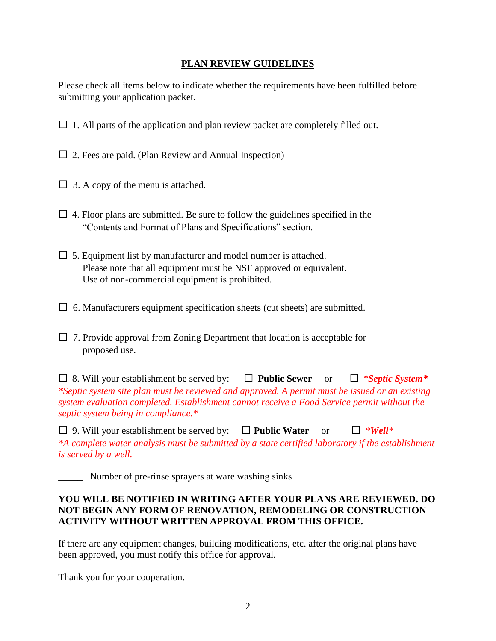#### **PLAN REVIEW GUIDELINES**

Please check all items below to indicate whether the requirements have been fulfilled before submitting your application packet.

- $\Box$  1. All parts of the application and plan review packet are completely filled out.
- $\Box$  2. Fees are paid. (Plan Review and Annual Inspection)
- $\Box$  3. A copy of the menu is attached.
- $\Box$  4. Floor plans are submitted. Be sure to follow the guidelines specified in the "Contents and Format of Plans and Specifications" section.
- $\Box$  5. Equipment list by manufacturer and model number is attached. Please note that all equipment must be NSF approved or equivalent. Use of non-commercial equipment is prohibited.
- $\Box$  6. Manufacturers equipment specification sheets (cut sheets) are submitted.
- $\Box$  7. Provide approval from Zoning Department that location is acceptable for proposed use.

□ 8. Will your establishment be served by: □ **Public Sewer** or □ *\*Septic System\* \*Septic system site plan must be reviewed and approved. A permit must be issued or an existing system evaluation completed. Establishment cannot receive a Food Service permit without the septic system being in compliance.\**

□ 9. Will your establishment be served by: □ **Public Water** or □ *\*Well\* \*A complete water analysis must be submitted by a state certified laboratory if the establishment is served by a well.*

Number of pre-rinse sprayers at ware washing sinks

#### **YOU WILL BE NOTIFIED IN WRITING AFTER YOUR PLANS ARE REVIEWED. DO NOT BEGIN ANY FORM OF RENOVATION, REMODELING OR CONSTRUCTION ACTIVITY WITHOUT WRITTEN APPROVAL FROM THIS OFFICE.**

If there are any equipment changes, building modifications, etc. after the original plans have been approved, you must notify this office for approval.

Thank you for your cooperation.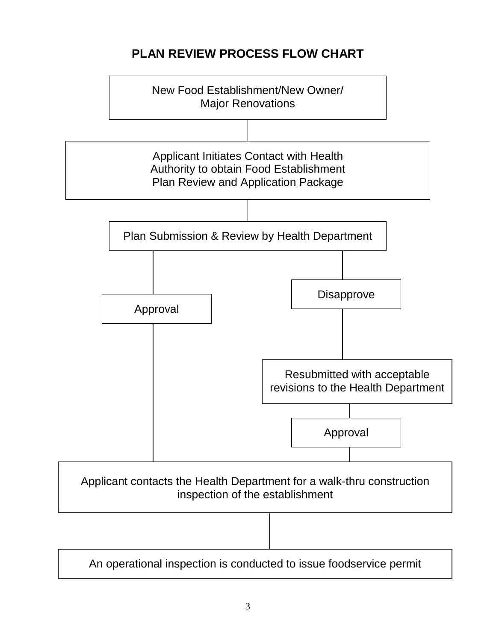# **PLAN REVIEW PROCESS FLOW CHART**



An operational inspection is conducted to issue foodservice permit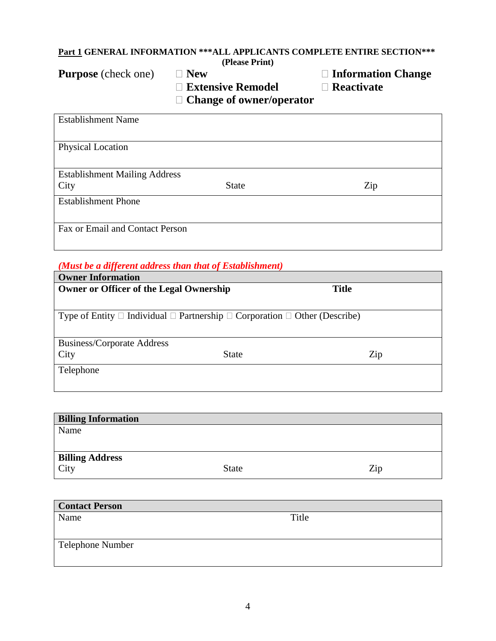#### **Part 1 GENERAL INFORMATION \*\*\*ALL APPLICANTS COMPLETE ENTIRE SECTION\*\*\* (Please Print)**

| <b>Purpose</b> (check one) | $\Box$ New                      | $\Box$ Information Change |
|----------------------------|---------------------------------|---------------------------|
|                            | $\Box$ Extensive Remodel        | $\Box$ Reactivate         |
|                            | $\Box$ Change of owner/operator |                           |

| <b>Establishment Name</b>            |              |     |
|--------------------------------------|--------------|-----|
| <b>Physical Location</b>             |              |     |
|                                      |              |     |
| <b>Establishment Mailing Address</b> |              |     |
| City                                 | <b>State</b> | Zip |
| <b>Establishment Phone</b>           |              |     |
|                                      |              |     |
|                                      |              |     |
| Fax or Email and Contact Person      |              |     |

# *(Must be a different address than that of Establishment)*

| <b>Owner Information</b>                       |                                                                                                |              |  |  |  |
|------------------------------------------------|------------------------------------------------------------------------------------------------|--------------|--|--|--|
| <b>Owner or Officer of the Legal Ownership</b> |                                                                                                | <b>Title</b> |  |  |  |
|                                                |                                                                                                |              |  |  |  |
|                                                | Type of Entity $\Box$ Individual $\Box$ Partnership $\Box$ Corporation $\Box$ Other (Describe) |              |  |  |  |
|                                                |                                                                                                |              |  |  |  |
| Business/Corporate Address                     |                                                                                                |              |  |  |  |
| City                                           | <b>State</b>                                                                                   | Zip          |  |  |  |
| Telephone                                      |                                                                                                |              |  |  |  |
|                                                |                                                                                                |              |  |  |  |

| <b>State</b> | Zip |
|--------------|-----|
|              |     |

| <b>Contact Person</b> |       |  |
|-----------------------|-------|--|
| Name                  | Title |  |
|                       |       |  |
| Telephone Number      |       |  |
|                       |       |  |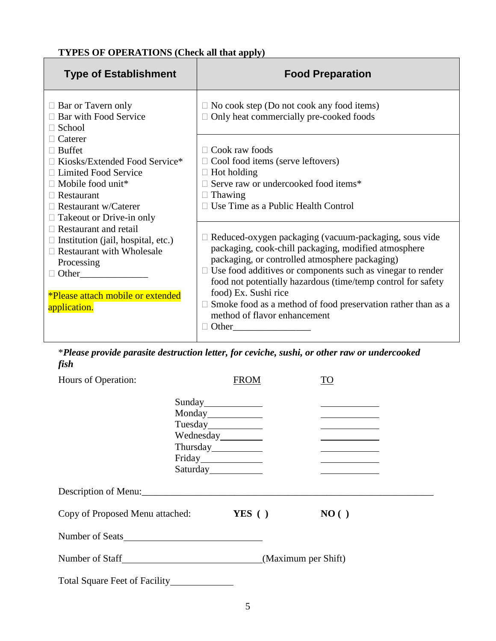# **TYPES OF OPERATIONS (Check all that apply)**

| <b>Type of Establishment</b>                                                                                                                                                                                                                               | <b>Food Preparation</b>                                                                                                                                                                                                                                                                                                                                                                                                                      |
|------------------------------------------------------------------------------------------------------------------------------------------------------------------------------------------------------------------------------------------------------------|----------------------------------------------------------------------------------------------------------------------------------------------------------------------------------------------------------------------------------------------------------------------------------------------------------------------------------------------------------------------------------------------------------------------------------------------|
| $\Box$ Bar or Tavern only<br>$\Box$ Bar with Food Service<br>$\Box$ School<br>$\Box$ Caterer<br>$\Box$ Buffet<br>□ Kiosks/Extended Food Service*<br>□ Limited Food Service<br>$\Box$ Mobile food unit*<br>$\Box$ Restaurant<br>$\Box$ Restaurant w/Caterer | $\Box$ No cook step (Do not cook any food items)<br>$\Box$ Only heat commercially pre-cooked foods<br>$\Box$ Cook raw foods<br>$\Box$ Cool food items (serve leftovers)<br>$\Box$ Hot holding<br>Serve raw or undercooked food items*<br>Thawing<br>$\Box$ Use Time as a Public Health Control                                                                                                                                               |
| $\Box$ Takeout or Drive-in only<br>$\Box$ Restaurant and retail<br>$\Box$ Institution (jail, hospital, etc.)<br>$\Box$ Restaurant with Wholesale<br>Processing<br>$\Box$ Other<br>*Please attach mobile or extended<br>application.                        | Reduced-oxygen packaging (vacuum-packaging, sous vide<br>packaging, cook-chill packaging, modified atmosphere<br>packaging, or controlled atmosphere packaging)<br>$\Box$ Use food additives or components such as vinegar to render<br>food not potentially hazardous (time/temp control for safety<br>food) Ex. Sushi rice<br>Smoke food as a method of food preservation rather than as a<br>method of flavor enhancement<br>$\Box$ Other |

\**Please provide parasite destruction letter, for ceviche, sushi, or other raw or undercooked fish*

| Hours of Operation:                 |                                              | <b>FROM</b> |                                                                                                                                                                                                                |
|-------------------------------------|----------------------------------------------|-------------|----------------------------------------------------------------------------------------------------------------------------------------------------------------------------------------------------------------|
|                                     | Sunday______________<br>Saturday____________ |             | the control of the control of the control of the control of<br><u> 1989 - Johann Barbara, martxa a</u><br><u> 1989 - Johann Barnett, fransk kongresu</u><br><u> 1989 - Johann Barn, amerikansk politiker (</u> |
| Description of Menu:                |                                              |             |                                                                                                                                                                                                                |
| Copy of Proposed Menu attached:     |                                              | YES $( )$   | NO( )                                                                                                                                                                                                          |
| Number of Seats                     |                                              |             |                                                                                                                                                                                                                |
| Number of Staff (Maximum per Shift) |                                              |             |                                                                                                                                                                                                                |
| Total Square Feet of Facility_      |                                              |             |                                                                                                                                                                                                                |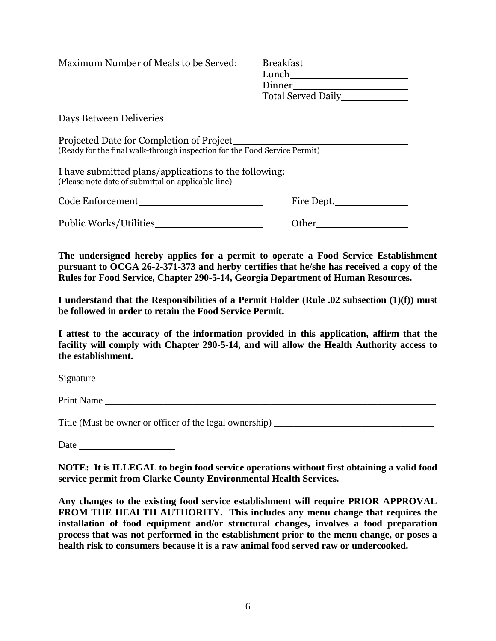Maximum Number of Meals to be Served:

| <b>Breakfast</b>          |  |
|---------------------------|--|
| Lunch                     |  |
| Dinner                    |  |
| <b>Total Served Daily</b> |  |
|                           |  |

Days Between Deliveries

Projected Date for Completion of Project (Ready for the final walk-through inspection for the Food Service Permit)

I have submitted plans/applications to the following: (Please note date of submittal on applicable line)

| Code Enforcement              | Fire Dept. |
|-------------------------------|------------|
| <b>Public Works/Utilities</b> | Other      |

**The undersigned hereby applies for a permit to operate a Food Service Establishment pursuant to OCGA 26-2-371-373 and herby certifies that he/she has received a copy of the Rules for Food Service, Chapter 290-5-14, Georgia Department of Human Resources.** 

**I understand that the Responsibilities of a Permit Holder (Rule .02 subsection (1)(f)) must be followed in order to retain the Food Service Permit.** 

**I attest to the accuracy of the information provided in this application, affirm that the facility will comply with Chapter 290-5-14, and will allow the Health Authority access to the establishment.**

 $Signature \_\_\_\_\_\_\_$ 

Print Name

Title (Must be owner or officer of the legal ownership) \_\_\_\_\_\_\_\_\_\_\_\_\_\_\_\_\_\_\_\_\_\_\_\_\_\_\_\_\_\_\_\_\_

Date and the state of the state of the state of the state of the state of the state of the state of the state of the state of the state of the state of the state of the state of the state of the state of the state of the s

**NOTE: It is ILLEGAL to begin food service operations without first obtaining a valid food service permit from Clarke County Environmental Health Services.**

**Any changes to the existing food service establishment will require PRIOR APPROVAL FROM THE HEALTH AUTHORITY. This includes any menu change that requires the installation of food equipment and/or structural changes, involves a food preparation process that was not performed in the establishment prior to the menu change, or poses a health risk to consumers because it is a raw animal food served raw or undercooked.**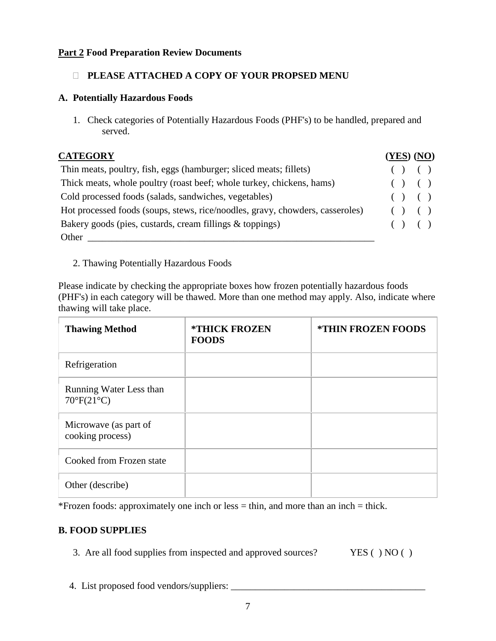#### **Part 2 Food Preparation Review Documents**

## **PLEASE ATTACHED A COPY OF YOUR PROPSED MENU**

#### **A. Potentially Hazardous Foods**

1. Check categories of Potentially Hazardous Foods (PHF's) to be handled, prepared and served.

| <b>CATEGORY</b>                                                               | <u>(YES)</u> (NO) |  |  |
|-------------------------------------------------------------------------------|-------------------|--|--|
| Thin meats, poultry, fish, eggs (hamburger; sliced meats; fillets)            | ( ) ( )           |  |  |
| Thick meats, whole poultry (roast beef; whole turkey, chickens, hams)         | ( ) ( )           |  |  |
| Cold processed foods (salads, sandwiches, vegetables)                         | ( ) ( )           |  |  |
| Hot processed foods (soups, stews, rice/noodles, gravy, chowders, casseroles) | ( ) ( )           |  |  |
| Bakery goods (pies, custards, cream fillings & toppings)                      | ( ) ( )           |  |  |
| Other                                                                         |                   |  |  |

#### 2. Thawing Potentially Hazardous Foods

Please indicate by checking the appropriate boxes how frozen potentially hazardous foods (PHF's) in each category will be thawed. More than one method may apply. Also, indicate where thawing will take place.

| <b>Thawing Method</b>                                 | <b>*THICK FROZEN</b><br><b>FOODS</b> | <b>*THIN FROZEN FOODS</b> |
|-------------------------------------------------------|--------------------------------------|---------------------------|
| Refrigeration                                         |                                      |                           |
| Running Water Less than<br>$70^{\circ}F(21^{\circ}C)$ |                                      |                           |
| Microwave (as part of<br>cooking process)             |                                      |                           |
| Cooked from Frozen state                              |                                      |                           |
| Other (describe)                                      |                                      |                           |

\*Frozen foods: approximately one inch or less = thin, and more than an inch = thick.

#### **B. FOOD SUPPLIES**

- 3. Are all food supplies from inspected and approved sources? YES ( ) NO ( )
- 4. List proposed food vendors/suppliers: \_\_\_\_\_\_\_\_\_\_\_\_\_\_\_\_\_\_\_\_\_\_\_\_\_\_\_\_\_\_\_\_\_\_\_\_\_\_\_\_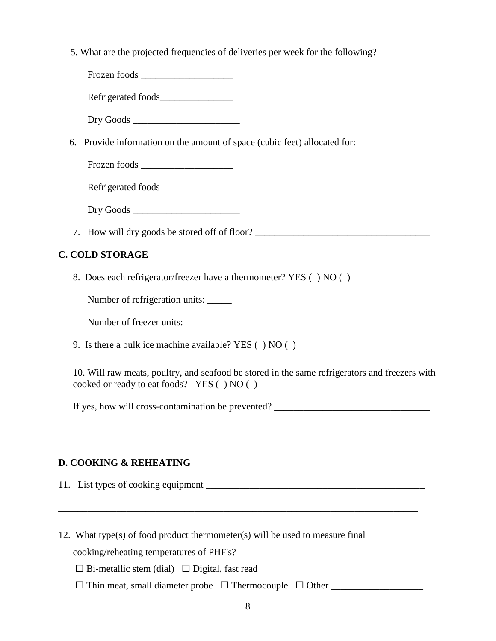5. What are the projected frequencies of deliveries per week for the following?

Frozen foods \_\_\_\_\_\_\_\_\_\_\_\_\_\_\_\_\_\_\_

Refrigerated foods

Dry Goods \_\_\_\_\_\_\_\_\_\_\_\_\_\_\_\_\_\_\_\_\_\_

6. Provide information on the amount of space (cubic feet) allocated for:

Frozen foods \_\_\_\_\_\_\_\_\_\_\_\_\_\_\_\_\_\_\_

Refrigerated foods\_\_\_\_\_\_\_\_\_\_\_\_\_\_\_

Dry Goods \_\_\_\_\_\_\_\_\_\_\_\_\_\_\_\_\_\_\_\_\_\_

7. How will dry goods be stored off of floor? \_\_\_\_\_\_\_\_\_\_\_\_\_\_\_\_\_\_\_\_\_\_\_\_\_\_\_\_\_\_\_\_\_\_\_\_

## **C. COLD STORAGE**

8. Does each refrigerator/freezer have a thermometer? YES ( ) NO ( )

Number of refrigeration units: \_\_\_\_\_

Number of freezer units:

9. Is there a bulk ice machine available? YES ( ) NO ( )

10. Will raw meats, poultry, and seafood be stored in the same refrigerators and freezers with cooked or ready to eat foods? YES ( ) NO ( )

If yes, how will cross-contamination be prevented? \_\_\_\_\_\_\_\_\_\_\_\_\_\_\_\_\_\_\_\_\_\_\_\_\_\_\_\_\_\_

\_\_\_\_\_\_\_\_\_\_\_\_\_\_\_\_\_\_\_\_\_\_\_\_\_\_\_\_\_\_\_\_\_\_\_\_\_\_\_\_\_\_\_\_\_\_\_\_\_\_\_\_\_\_\_\_\_\_\_\_\_\_\_\_\_\_\_\_\_\_\_\_\_\_

\_\_\_\_\_\_\_\_\_\_\_\_\_\_\_\_\_\_\_\_\_\_\_\_\_\_\_\_\_\_\_\_\_\_\_\_\_\_\_\_\_\_\_\_\_\_\_\_\_\_\_\_\_\_\_\_\_\_\_\_\_\_\_\_\_\_\_\_\_\_\_\_\_\_

#### **D. COOKING & REHEATING**

11. List types of cooking equipment \_\_\_\_\_\_\_\_\_\_\_\_\_\_\_\_\_\_\_\_\_\_\_\_\_\_\_\_\_\_\_\_\_\_\_\_\_\_\_\_\_\_\_\_\_

12. What type(s) of food product thermometer(s) will be used to measure final

cooking/reheating temperatures of PHF's?

 $\Box$  Bi-metallic stem (dial)  $\Box$  Digital, fast read

Thin meat, small diameter probe Thermocouple Other \_\_\_\_\_\_\_\_\_\_\_\_\_\_\_\_\_\_\_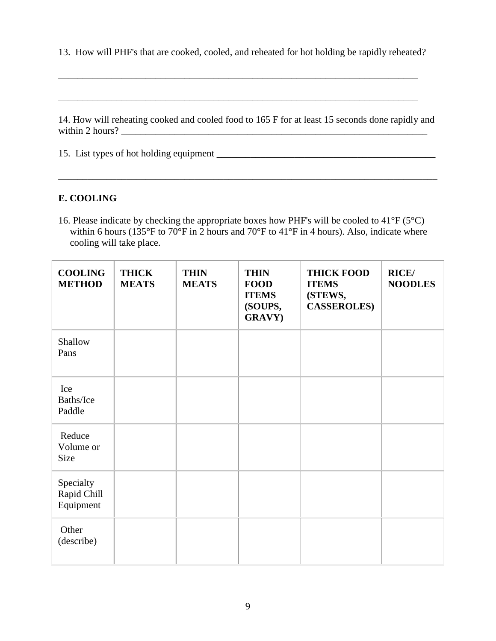13. How will PHF's that are cooked, cooled, and reheated for hot holding be rapidly reheated?

\_\_\_\_\_\_\_\_\_\_\_\_\_\_\_\_\_\_\_\_\_\_\_\_\_\_\_\_\_\_\_\_\_\_\_\_\_\_\_\_\_\_\_\_\_\_\_\_\_\_\_\_\_\_\_\_\_\_\_\_\_\_\_\_\_\_\_\_\_\_\_\_\_\_

14. How will reheating cooked and cooled food to 165 F for at least 15 seconds done rapidly and within 2 hours? \_\_\_\_\_\_\_\_\_\_\_\_\_\_\_\_\_\_\_\_\_\_\_\_\_\_\_\_\_\_\_\_\_\_\_\_\_\_\_\_\_\_\_\_\_\_\_\_\_\_\_\_\_\_\_\_\_\_\_\_\_\_\_

\_\_\_\_\_\_\_\_\_\_\_\_\_\_\_\_\_\_\_\_\_\_\_\_\_\_\_\_\_\_\_\_\_\_\_\_\_\_\_\_\_\_\_\_\_\_\_\_\_\_\_\_\_\_\_\_\_\_\_\_\_\_\_\_\_\_\_\_\_\_\_\_\_\_\_\_\_\_

15. List types of hot holding equipment \_\_\_\_\_\_\_\_\_\_\_\_\_\_\_\_\_\_\_\_\_\_\_\_\_\_\_\_\_\_\_\_\_\_\_\_\_\_\_\_\_\_\_\_\_

#### **E. COOLING**

16. Please indicate by checking the appropriate boxes how PHF's will be cooled to  $41^{\circ}F(5^{\circ}C)$ within 6 hours (135°F to 70°F in 2 hours and 70°F to 41°F in 4 hours). Also, indicate where cooling will take place.

| <b>COOLING</b><br><b>METHOD</b>       | <b>THICK</b><br><b>MEATS</b> | <b>THIN</b><br><b>MEATS</b> | <b>THIN</b><br><b>FOOD</b><br><b>ITEMS</b><br>(SOUPS,<br><b>GRAVY</b> ) | <b>THICK FOOD</b><br><b>ITEMS</b><br>(STEWS,<br><b>CASSEROLES)</b> | <b>RICE/</b><br><b>NOODLES</b> |
|---------------------------------------|------------------------------|-----------------------------|-------------------------------------------------------------------------|--------------------------------------------------------------------|--------------------------------|
| Shallow<br>Pans                       |                              |                             |                                                                         |                                                                    |                                |
| Ice<br>Baths/Ice<br>Paddle            |                              |                             |                                                                         |                                                                    |                                |
| Reduce<br>Volume or<br><b>Size</b>    |                              |                             |                                                                         |                                                                    |                                |
| Specialty<br>Rapid Chill<br>Equipment |                              |                             |                                                                         |                                                                    |                                |
| Other<br>(describe)                   |                              |                             |                                                                         |                                                                    |                                |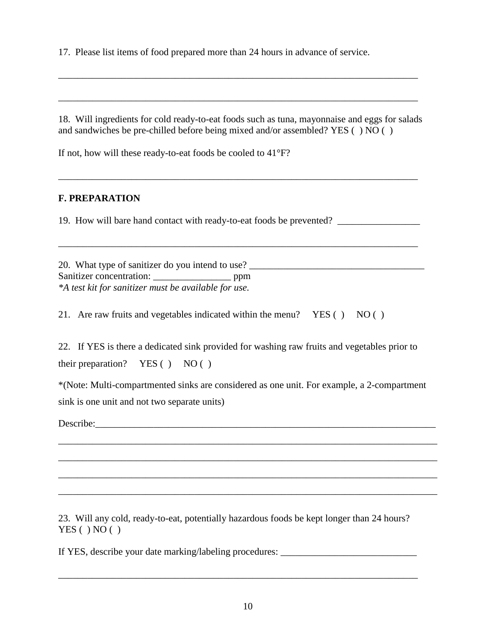17. Please list items of food prepared more than 24 hours in advance of service.

18. Will ingredients for cold ready-to-eat foods such as tuna, mayonnaise and eggs for salads and sandwiches be pre-chilled before being mixed and/or assembled? YES ( ) NO ( )

\_\_\_\_\_\_\_\_\_\_\_\_\_\_\_\_\_\_\_\_\_\_\_\_\_\_\_\_\_\_\_\_\_\_\_\_\_\_\_\_\_\_\_\_\_\_\_\_\_\_\_\_\_\_\_\_\_\_\_\_\_\_\_\_\_\_\_\_\_\_\_\_\_\_

If not, how will these ready-to-eat foods be cooled to 41°F?

#### **F. PREPARATION**

19. How will bare hand contact with ready-to-eat foods be prevented?

\_\_\_\_\_\_\_\_\_\_\_\_\_\_\_\_\_\_\_\_\_\_\_\_\_\_\_\_\_\_\_\_\_\_\_\_\_\_\_\_\_\_\_\_\_\_\_\_\_\_\_\_\_\_\_\_\_\_\_\_\_\_\_\_\_\_\_\_\_\_\_\_\_\_

\_\_\_\_\_\_\_\_\_\_\_\_\_\_\_\_\_\_\_\_\_\_\_\_\_\_\_\_\_\_\_\_\_\_\_\_\_\_\_\_\_\_\_\_\_\_\_\_\_\_\_\_\_\_\_\_\_\_\_\_\_\_\_\_\_\_\_\_\_\_\_\_\_\_

20. What type of sanitizer do you intend to use? \_\_\_\_\_\_\_\_\_\_\_\_\_\_\_\_\_\_\_\_\_\_\_\_\_\_\_\_\_\_\_\_ Sanitizer concentration: \_\_\_\_\_\_\_\_\_\_\_\_\_\_\_\_ ppm *\*A test kit for sanitizer must be available for use.*

21. Are raw fruits and vegetables indicated within the menu?  $YES() NO()$ 

22. If YES is there a dedicated sink provided for washing raw fruits and vegetables prior to their preparation?  $YES() NO()$ 

\*(Note: Multi-compartmented sinks are considered as one unit. For example, a 2-compartment sink is one unit and not two separate units)

\_\_\_\_\_\_\_\_\_\_\_\_\_\_\_\_\_\_\_\_\_\_\_\_\_\_\_\_\_\_\_\_\_\_\_\_\_\_\_\_\_\_\_\_\_\_\_\_\_\_\_\_\_\_\_\_\_\_\_\_\_\_\_\_\_\_\_\_\_\_\_\_\_\_\_\_\_\_

\_\_\_\_\_\_\_\_\_\_\_\_\_\_\_\_\_\_\_\_\_\_\_\_\_\_\_\_\_\_\_\_\_\_\_\_\_\_\_\_\_\_\_\_\_\_\_\_\_\_\_\_\_\_\_\_\_\_\_\_\_\_\_\_\_\_\_\_\_\_\_\_\_\_\_\_\_\_

\_\_\_\_\_\_\_\_\_\_\_\_\_\_\_\_\_\_\_\_\_\_\_\_\_\_\_\_\_\_\_\_\_\_\_\_\_\_\_\_\_\_\_\_\_\_\_\_\_\_\_\_\_\_\_\_\_\_\_\_\_\_\_\_\_\_\_\_\_\_\_\_\_\_\_\_\_\_

\_\_\_\_\_\_\_\_\_\_\_\_\_\_\_\_\_\_\_\_\_\_\_\_\_\_\_\_\_\_\_\_\_\_\_\_\_\_\_\_\_\_\_\_\_\_\_\_\_\_\_\_\_\_\_\_\_\_\_\_\_\_\_\_\_\_\_\_\_\_\_\_\_\_\_\_\_\_

Describe:

23. Will any cold, ready-to-eat, potentially hazardous foods be kept longer than 24 hours?  $YES()NO()$ 

If YES, describe your date marking/labeling procedures: \_\_\_\_\_\_\_\_\_\_\_\_\_\_\_\_\_\_\_\_\_\_\_\_

\_\_\_\_\_\_\_\_\_\_\_\_\_\_\_\_\_\_\_\_\_\_\_\_\_\_\_\_\_\_\_\_\_\_\_\_\_\_\_\_\_\_\_\_\_\_\_\_\_\_\_\_\_\_\_\_\_\_\_\_\_\_\_\_\_\_\_\_\_\_\_\_\_\_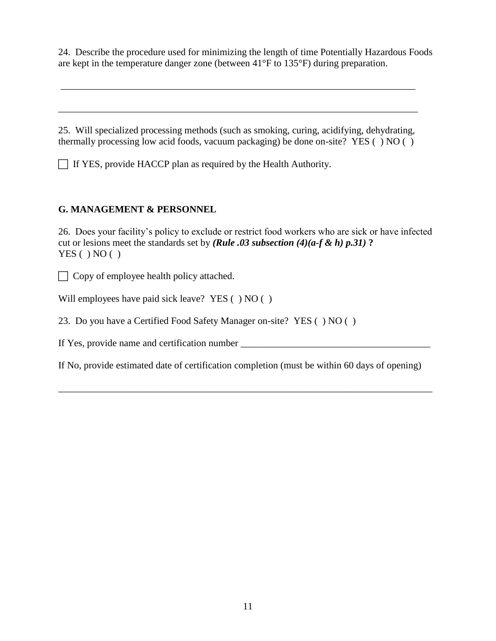24. Describe the procedure used for minimizing the length of time Potentially Hazardous Foods are kept in the temperature danger zone (between 41°F to 135°F) during preparation.

25. Will specialized processing methods (such as smoking, curing, acidifying, dehydrating, thermally processing low acid foods, vacuum packaging) be done on-site? YES ( ) NO ( )

\_\_\_\_\_\_\_\_\_\_\_\_\_\_\_\_\_\_\_\_\_\_\_\_\_\_\_\_\_\_\_\_\_\_\_\_\_\_\_\_\_\_\_\_\_\_\_\_\_\_\_\_\_\_\_\_\_\_\_\_\_\_\_\_\_\_\_\_\_\_\_\_\_

\_\_\_\_\_\_\_\_\_\_\_\_\_\_\_\_\_\_\_\_\_\_\_\_\_\_\_\_\_\_\_\_\_\_\_\_\_\_\_\_\_\_\_\_\_\_\_\_\_\_\_\_\_\_\_\_\_\_\_\_\_\_\_\_\_\_\_\_\_\_\_\_\_\_

 $\Box$  If YES, provide HACCP plan as required by the Health Authority.

## **G. MANAGEMENT & PERSONNEL**

26. Does your facility's policy to exclude or restrict food workers who are sick or have infected cut or lesions meet the standards set by *(Rule .03 subsection (4)(a-f & h) p.31)* **?**  $YES( ) NO( )$ 

 $\Box$  Copy of employee health policy attached.

Will employees have paid sick leave? YES ( ) NO ( )

23. Do you have a Certified Food Safety Manager on-site? YES ( ) NO ( )

If Yes, provide name and certification number \_\_\_\_\_\_\_\_\_\_\_\_\_\_\_\_\_\_\_\_\_\_\_\_\_\_\_\_\_\_\_\_\_\_

If No, provide estimated date of certification completion (must be within 60 days of opening)

\_\_\_\_\_\_\_\_\_\_\_\_\_\_\_\_\_\_\_\_\_\_\_\_\_\_\_\_\_\_\_\_\_\_\_\_\_\_\_\_\_\_\_\_\_\_\_\_\_\_\_\_\_\_\_\_\_\_\_\_\_\_\_\_\_\_\_\_\_\_\_\_\_\_\_\_\_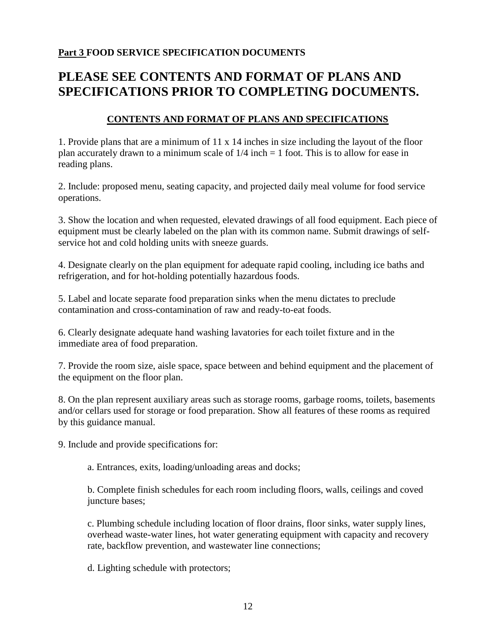## **Part 3 FOOD SERVICE SPECIFICATION DOCUMENTS**

# **PLEASE SEE CONTENTS AND FORMAT OF PLANS AND SPECIFICATIONS PRIOR TO COMPLETING DOCUMENTS.**

## **CONTENTS AND FORMAT OF PLANS AND SPECIFICATIONS**

1. Provide plans that are a minimum of 11 x 14 inches in size including the layout of the floor plan accurately drawn to a minimum scale of  $1/4$  inch  $= 1$  foot. This is to allow for ease in reading plans.

2. Include: proposed menu, seating capacity, and projected daily meal volume for food service operations.

3. Show the location and when requested, elevated drawings of all food equipment. Each piece of equipment must be clearly labeled on the plan with its common name. Submit drawings of selfservice hot and cold holding units with sneeze guards.

4. Designate clearly on the plan equipment for adequate rapid cooling, including ice baths and refrigeration, and for hot-holding potentially hazardous foods.

5. Label and locate separate food preparation sinks when the menu dictates to preclude contamination and cross-contamination of raw and ready-to-eat foods.

6. Clearly designate adequate hand washing lavatories for each toilet fixture and in the immediate area of food preparation.

7. Provide the room size, aisle space, space between and behind equipment and the placement of the equipment on the floor plan.

8. On the plan represent auxiliary areas such as storage rooms, garbage rooms, toilets, basements and/or cellars used for storage or food preparation. Show all features of these rooms as required by this guidance manual.

9. Include and provide specifications for:

a. Entrances, exits, loading/unloading areas and docks;

b. Complete finish schedules for each room including floors, walls, ceilings and coved juncture bases;

c. Plumbing schedule including location of floor drains, floor sinks, water supply lines, overhead waste-water lines, hot water generating equipment with capacity and recovery rate, backflow prevention, and wastewater line connections;

d. Lighting schedule with protectors;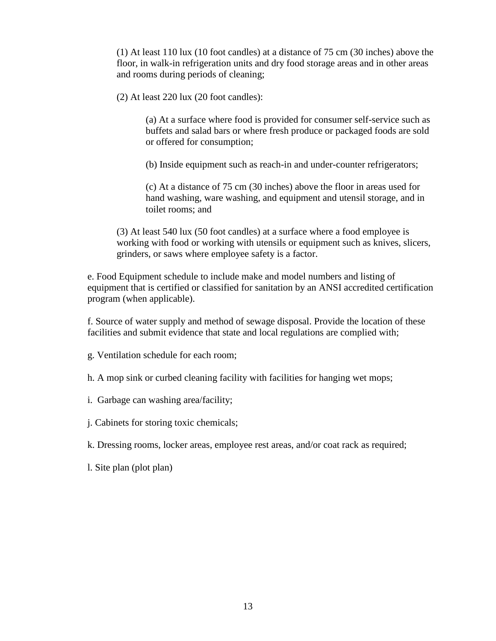(1) At least 110 lux (10 foot candles) at a distance of 75 cm (30 inches) above the floor, in walk-in refrigeration units and dry food storage areas and in other areas and rooms during periods of cleaning;

(2) At least 220 lux (20 foot candles):

(a) At a surface where food is provided for consumer self-service such as buffets and salad bars or where fresh produce or packaged foods are sold or offered for consumption;

(b) Inside equipment such as reach-in and under-counter refrigerators;

(c) At a distance of 75 cm (30 inches) above the floor in areas used for hand washing, ware washing, and equipment and utensil storage, and in toilet rooms; and

(3) At least 540 lux (50 foot candles) at a surface where a food employee is working with food or working with utensils or equipment such as knives, slicers, grinders, or saws where employee safety is a factor.

e. Food Equipment schedule to include make and model numbers and listing of equipment that is certified or classified for sanitation by an ANSI accredited certification program (when applicable).

f. Source of water supply and method of sewage disposal. Provide the location of these facilities and submit evidence that state and local regulations are complied with;

g. Ventilation schedule for each room;

h. A mop sink or curbed cleaning facility with facilities for hanging wet mops;

i. Garbage can washing area/facility;

j. Cabinets for storing toxic chemicals;

k. Dressing rooms, locker areas, employee rest areas, and/or coat rack as required;

l. Site plan (plot plan)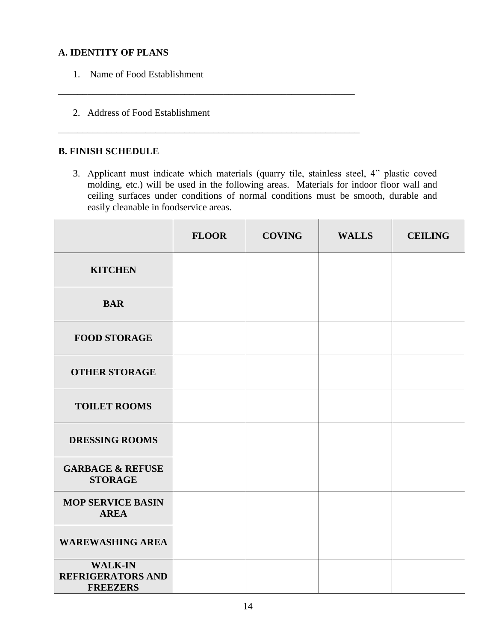#### **A. IDENTITY OF PLANS**

- 1. Name of Food Establishment
- 2. Address of Food Establishment

#### **B. FINISH SCHEDULE**

3. Applicant must indicate which materials (quarry tile, stainless steel, 4" plastic coved molding, etc.) will be used in the following areas. Materials for indoor floor wall and ceiling surfaces under conditions of normal conditions must be smooth, durable and easily cleanable in foodservice areas.

\_\_\_\_\_\_\_\_\_\_\_\_\_\_\_\_\_\_\_\_\_\_\_\_\_\_\_\_\_\_\_\_\_\_\_\_\_\_\_\_\_\_\_\_\_\_\_\_\_\_\_\_\_\_\_\_\_\_\_\_\_

\_\_\_\_\_\_\_\_\_\_\_\_\_\_\_\_\_\_\_\_\_\_\_\_\_\_\_\_\_\_\_\_\_\_\_\_\_\_\_\_\_\_\_\_\_\_\_\_\_\_\_\_\_\_\_\_\_\_\_\_\_\_

|                                                               | <b>FLOOR</b> | <b>COVING</b> | <b>WALLS</b> | <b>CEILING</b> |
|---------------------------------------------------------------|--------------|---------------|--------------|----------------|
| <b>KITCHEN</b>                                                |              |               |              |                |
| <b>BAR</b>                                                    |              |               |              |                |
| <b>FOOD STORAGE</b>                                           |              |               |              |                |
| <b>OTHER STORAGE</b>                                          |              |               |              |                |
| <b>TOILET ROOMS</b>                                           |              |               |              |                |
| <b>DRESSING ROOMS</b>                                         |              |               |              |                |
| <b>GARBAGE &amp; REFUSE</b><br><b>STORAGE</b>                 |              |               |              |                |
| <b>MOP SERVICE BASIN</b><br><b>AREA</b>                       |              |               |              |                |
| <b>WAREWASHING AREA</b>                                       |              |               |              |                |
| <b>WALK-IN</b><br><b>REFRIGERATORS AND</b><br><b>FREEZERS</b> |              |               |              |                |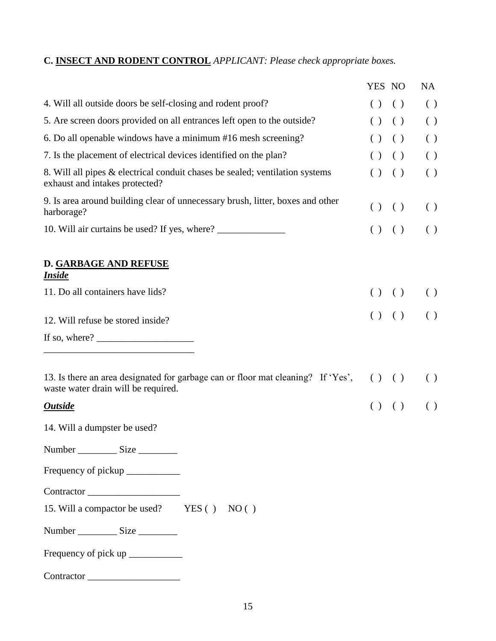# **C. INSECT AND RODENT CONTROL** *APPLICANT: Please check appropriate boxes.*

|                                                                                                                                                                                                                                                                                                                                                                                                                    | YES NO    |                    | NA                 |
|--------------------------------------------------------------------------------------------------------------------------------------------------------------------------------------------------------------------------------------------------------------------------------------------------------------------------------------------------------------------------------------------------------------------|-----------|--------------------|--------------------|
| 4. Will all outside doors be self-closing and rodent proof?                                                                                                                                                                                                                                                                                                                                                        | () ()     |                    | ( )                |
| 5. Are screen doors provided on all entrances left open to the outside?                                                                                                                                                                                                                                                                                                                                            | ( )       | $\left( \ \right)$ | ( )                |
| 6. Do all openable windows have a minimum #16 mesh screening?                                                                                                                                                                                                                                                                                                                                                      | ( )       | $\left( \ \right)$ | $\left( \ \right)$ |
| 7. Is the placement of electrical devices identified on the plan?                                                                                                                                                                                                                                                                                                                                                  |           | $()$ $()$          | ( )                |
| 8. Will all pipes & electrical conduit chases be sealed; ventilation systems<br>exhaust and intakes protected?                                                                                                                                                                                                                                                                                                     |           | $()$ $()$          | ( )                |
| 9. Is area around building clear of unnecessary brush, litter, boxes and other<br>harborage?                                                                                                                                                                                                                                                                                                                       |           | $()$ $()$          | ( )                |
|                                                                                                                                                                                                                                                                                                                                                                                                                    |           | $()$ $()$          | $\left( \ \right)$ |
| <b>D. GARBAGE AND REFUSE</b><br><u><b>Inside</b></u>                                                                                                                                                                                                                                                                                                                                                               |           |                    |                    |
| 11. Do all containers have lids?                                                                                                                                                                                                                                                                                                                                                                                   |           | $()$ $()$          | $\left( \ \right)$ |
| 12. Will refuse be stored inside?                                                                                                                                                                                                                                                                                                                                                                                  |           | $()$ $()$          | ( )                |
| If so, where? $\frac{1}{\sqrt{1-\frac{1}{2}}}\frac{1}{\sqrt{1-\frac{1}{2}}}\frac{1}{\sqrt{1-\frac{1}{2}}}\frac{1}{\sqrt{1-\frac{1}{2}}}\frac{1}{\sqrt{1-\frac{1}{2}}}\frac{1}{\sqrt{1-\frac{1}{2}}}\frac{1}{\sqrt{1-\frac{1}{2}}}\frac{1}{\sqrt{1-\frac{1}{2}}}\frac{1}{\sqrt{1-\frac{1}{2}}}\frac{1}{\sqrt{1-\frac{1}{2}}}\frac{1}{\sqrt{1-\frac{1}{2}}}\frac{1}{\sqrt{1-\frac{1}{2}}}\frac{1}{\sqrt{1-\frac{1}{$ |           |                    |                    |
| 13. Is there an area designated for garbage can or floor mat cleaning? If 'Yes',<br>waste water drain will be required.                                                                                                                                                                                                                                                                                            | $()$ $()$ |                    | $\left( \ \right)$ |
| <b>Outside</b>                                                                                                                                                                                                                                                                                                                                                                                                     |           | ( ) ( )            | ( )                |
| 14. Will a dumpster be used?                                                                                                                                                                                                                                                                                                                                                                                       |           |                    |                    |
| Number ________________ Size _____________                                                                                                                                                                                                                                                                                                                                                                         |           |                    |                    |
|                                                                                                                                                                                                                                                                                                                                                                                                                    |           |                    |                    |
| Contractor                                                                                                                                                                                                                                                                                                                                                                                                         |           |                    |                    |
| 15. Will a compactor be used? YES () NO ()                                                                                                                                                                                                                                                                                                                                                                         |           |                    |                    |
|                                                                                                                                                                                                                                                                                                                                                                                                                    |           |                    |                    |
| Frequency of pick up _____________                                                                                                                                                                                                                                                                                                                                                                                 |           |                    |                    |
| Contractor                                                                                                                                                                                                                                                                                                                                                                                                         |           |                    |                    |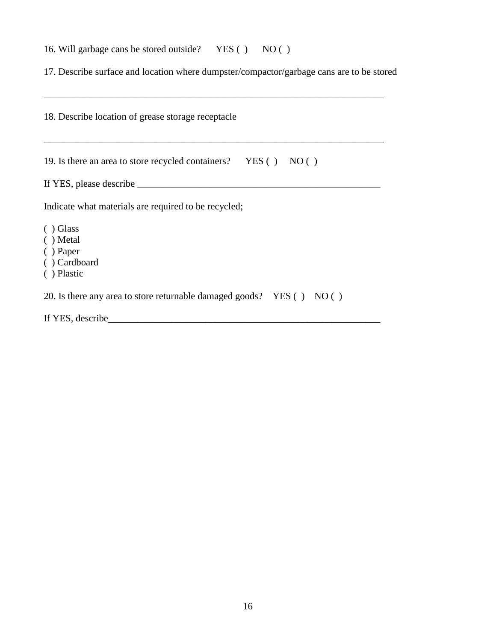16. Will garbage cans be stored outside? YES ( ) NO ( )

17. Describe surface and location where dumpster/compactor/garbage cans are to be stored

| 18. Describe location of grease storage receptacle                      |
|-------------------------------------------------------------------------|
| 19. Is there an area to store recycled containers? $YES() NO()$         |
| Indicate what materials are required to be recycled;                    |
| $()$ Glass<br>$( )$ Metal<br>$( )$ Paper<br>() Cardboard<br>() Plastic  |
| 20. Is there any area to store returnable damaged goods? $YES( ) NO( )$ |
| If YES, describe                                                        |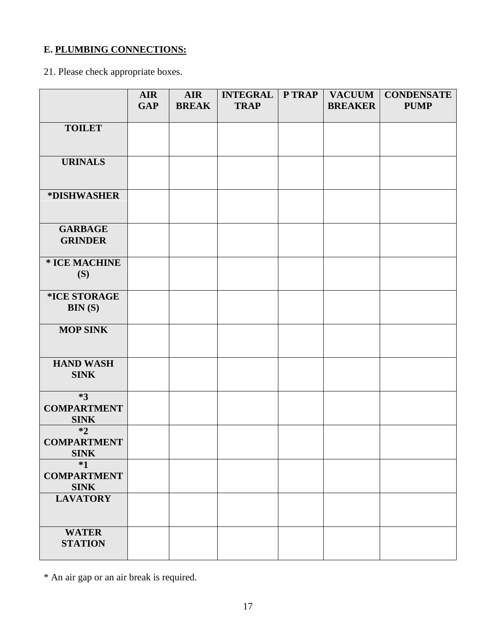# **E. PLUMBING CONNECTIONS:**

21. Please check appropriate boxes.

|                                           | <b>AIR</b><br><b>GAP</b> | <b>AIR</b><br><b>BREAK</b> | <b>INTEGRAL</b><br><b>TRAP</b> | P TRAP | <b>VACUUM</b><br><b>BREAKER</b> | <b>CONDENSATE</b><br><b>PUMP</b> |
|-------------------------------------------|--------------------------|----------------------------|--------------------------------|--------|---------------------------------|----------------------------------|
|                                           |                          |                            |                                |        |                                 |                                  |
| <b>TOILET</b>                             |                          |                            |                                |        |                                 |                                  |
| <b>URINALS</b>                            |                          |                            |                                |        |                                 |                                  |
| *DISHWASHER                               |                          |                            |                                |        |                                 |                                  |
| <b>GARBAGE</b><br><b>GRINDER</b>          |                          |                            |                                |        |                                 |                                  |
| * ICE MACHINE<br>(S)                      |                          |                            |                                |        |                                 |                                  |
| *ICE STORAGE<br>BIN(S)                    |                          |                            |                                |        |                                 |                                  |
| <b>MOP SINK</b>                           |                          |                            |                                |        |                                 |                                  |
| <b>HAND WASH</b><br><b>SINK</b>           |                          |                            |                                |        |                                 |                                  |
| $*3$<br><b>COMPARTMENT</b><br><b>SINK</b> |                          |                            |                                |        |                                 |                                  |
| $*2$<br><b>COMPARTMENT</b><br><b>SINK</b> |                          |                            |                                |        |                                 |                                  |
| $*1$<br><b>COMPARTMENT</b><br><b>SINK</b> |                          |                            |                                |        |                                 |                                  |
| <b>LAVATORY</b>                           |                          |                            |                                |        |                                 |                                  |
| <b>WATER</b><br><b>STATION</b>            |                          |                            |                                |        |                                 |                                  |

\* An air gap or an air break is required.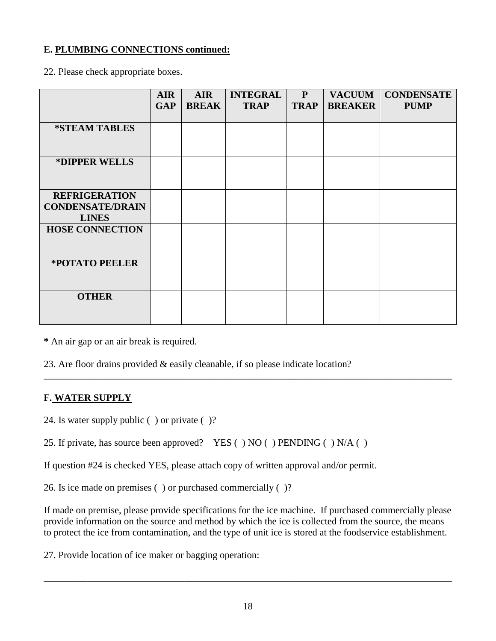## **E. PLUMBING CONNECTIONS continued:**

22. Please check appropriate boxes.

|                                         | <b>AIR</b><br><b>GAP</b> | <b>AIR</b><br><b>BREAK</b> | <b>INTEGRAL</b><br><b>TRAP</b> | ${\bf P}$<br><b>TRAP</b> | <b>VACUUM</b><br><b>BREAKER</b> | <b>CONDENSATE</b><br><b>PUMP</b> |
|-----------------------------------------|--------------------------|----------------------------|--------------------------------|--------------------------|---------------------------------|----------------------------------|
|                                         |                          |                            |                                |                          |                                 |                                  |
| *STEAM TABLES                           |                          |                            |                                |                          |                                 |                                  |
|                                         |                          |                            |                                |                          |                                 |                                  |
| *DIPPER WELLS                           |                          |                            |                                |                          |                                 |                                  |
|                                         |                          |                            |                                |                          |                                 |                                  |
| <b>REFRIGERATION</b>                    |                          |                            |                                |                          |                                 |                                  |
| <b>CONDENSATE/DRAIN</b><br><b>LINES</b> |                          |                            |                                |                          |                                 |                                  |
| <b>HOSE CONNECTION</b>                  |                          |                            |                                |                          |                                 |                                  |
|                                         |                          |                            |                                |                          |                                 |                                  |
| *POTATO PEELER                          |                          |                            |                                |                          |                                 |                                  |
|                                         |                          |                            |                                |                          |                                 |                                  |
| <b>OTHER</b>                            |                          |                            |                                |                          |                                 |                                  |
|                                         |                          |                            |                                |                          |                                 |                                  |

**\*** An air gap or an air break is required.

23. Are floor drains provided & easily cleanable, if so please indicate location?

#### **F. WATER SUPPLY**

24. Is water supply public ( ) or private ( )?

25. If private, has source been approved? YES ( ) NO ( ) PENDING ( ) N/A ( )

If question #24 is checked YES, please attach copy of written approval and/or permit.

26. Is ice made on premises ( ) or purchased commercially ( )?

If made on premise, please provide specifications for the ice machine. If purchased commercially please provide information on the source and method by which the ice is collected from the source, the means to protect the ice from contamination, and the type of unit ice is stored at the foodservice establishment.

\_\_\_\_\_\_\_\_\_\_\_\_\_\_\_\_\_\_\_\_\_\_\_\_\_\_\_\_\_\_\_\_\_\_\_\_\_\_\_\_\_\_\_\_\_\_\_\_\_\_\_\_\_\_\_\_\_\_\_\_\_\_\_\_\_\_\_\_\_\_\_\_\_\_\_\_\_\_\_\_\_\_\_\_

27. Provide location of ice maker or bagging operation:

\_\_\_\_\_\_\_\_\_\_\_\_\_\_\_\_\_\_\_\_\_\_\_\_\_\_\_\_\_\_\_\_\_\_\_\_\_\_\_\_\_\_\_\_\_\_\_\_\_\_\_\_\_\_\_\_\_\_\_\_\_\_\_\_\_\_\_\_\_\_\_\_\_\_\_\_\_\_\_\_\_\_\_\_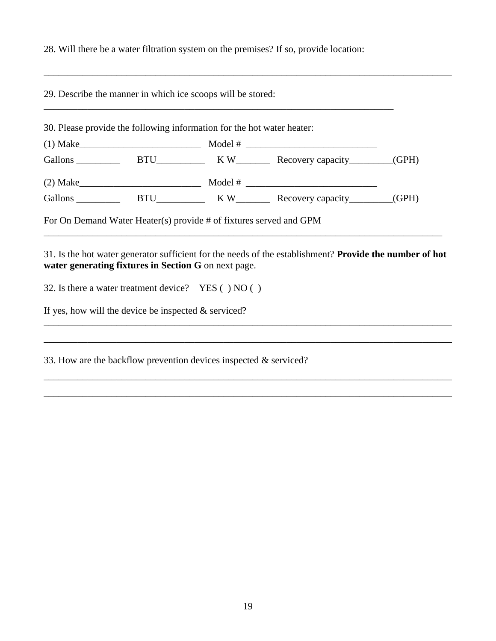28. Will there be a water filtration system on the premises? If so, provide location:

\_\_\_\_\_\_\_\_\_\_\_\_\_\_\_\_\_\_\_\_\_\_\_\_\_\_\_\_\_\_\_\_\_\_\_\_\_\_\_\_\_\_\_\_\_\_\_\_\_\_\_\_\_\_\_\_\_\_\_\_\_\_\_\_\_\_\_\_\_\_\_\_

29. Describe the manner in which ice scoops will be stored:

30. Please provide the following information for the hot water heater: (1) Make  $\blacksquare$ Gallons BTU\_\_\_\_\_\_\_\_ K W\_\_\_\_\_\_\_ Recovery capacity\_\_\_\_\_\_\_\_(GPH) (2) Make\_\_\_\_\_\_\_\_\_\_\_\_\_\_\_\_\_\_\_\_\_\_\_\_\_ Model # \_\_\_\_\_\_\_\_\_\_\_\_\_\_\_\_\_\_\_\_\_\_\_\_\_\_\_ Gallons \_\_\_\_\_\_\_\_\_\_ BTU\_\_\_\_\_\_\_\_\_\_ K W\_\_\_\_\_\_\_\_ Recovery capacity\_\_\_\_\_\_\_\_(GPH) For On Demand Water Heater(s) provide # of fixtures served and GPM

\_\_\_\_\_\_\_\_\_\_\_\_\_\_\_\_\_\_\_\_\_\_\_\_\_\_\_\_\_\_\_\_\_\_\_\_\_\_\_\_\_\_\_\_\_\_\_\_\_\_\_\_\_\_\_\_\_\_\_\_\_\_\_\_\_\_\_\_\_\_\_\_\_\_\_\_\_\_\_\_\_\_\_\_

31. Is the hot water generator sufficient for the needs of the establishment? **Provide the number of hot water generating fixtures in Section G** on next page.

\_\_\_\_\_\_\_\_\_\_\_\_\_\_\_\_\_\_\_\_\_\_\_\_\_\_\_\_\_\_\_\_\_\_\_\_\_\_\_\_\_\_\_\_\_\_\_\_\_\_\_\_\_\_\_\_\_\_\_\_\_\_\_\_\_\_\_\_\_\_\_\_\_\_\_\_\_\_\_\_\_\_\_\_

\_\_\_\_\_\_\_\_\_\_\_\_\_\_\_\_\_\_\_\_\_\_\_\_\_\_\_\_\_\_\_\_\_\_\_\_\_\_\_\_\_\_\_\_\_\_\_\_\_\_\_\_\_\_\_\_\_\_\_\_\_\_\_\_\_\_\_\_\_\_\_\_\_\_\_\_\_\_\_\_\_\_\_\_

\_\_\_\_\_\_\_\_\_\_\_\_\_\_\_\_\_\_\_\_\_\_\_\_\_\_\_\_\_\_\_\_\_\_\_\_\_\_\_\_\_\_\_\_\_\_\_\_\_\_\_\_\_\_\_\_\_\_\_\_\_\_\_\_\_\_\_\_\_\_\_\_\_\_\_\_\_\_\_\_\_\_\_\_

\_\_\_\_\_\_\_\_\_\_\_\_\_\_\_\_\_\_\_\_\_\_\_\_\_\_\_\_\_\_\_\_\_\_\_\_\_\_\_\_\_\_\_\_\_\_\_\_\_\_\_\_\_\_\_\_\_\_\_\_\_\_\_\_\_\_\_\_\_\_\_\_\_\_\_\_\_\_\_\_\_\_\_\_

\_\_\_\_\_\_\_\_\_\_\_\_\_\_\_\_\_\_\_\_\_\_\_\_\_\_\_\_\_\_\_\_\_\_\_\_\_\_\_\_\_\_\_\_\_\_\_\_\_\_\_\_\_\_\_\_\_\_\_\_\_\_\_\_\_\_\_\_\_\_\_\_\_\_\_\_\_\_\_\_\_\_

32. Is there a water treatment device? YES ( ) NO ( )

If yes, how will the device be inspected  $&$  serviced?

33. How are the backflow prevention devices inspected & serviced?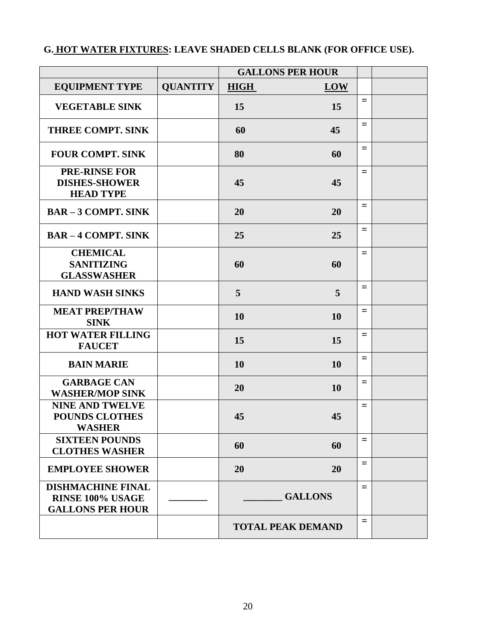# **G. HOT WATER FIXTURES: LEAVE SHADED CELLS BLANK (FOR OFFICE USE).**

|                                                                                |                 | <b>GALLONS PER HOUR</b> |                          |     |  |
|--------------------------------------------------------------------------------|-----------------|-------------------------|--------------------------|-----|--|
| <b>EQUIPMENT TYPE</b>                                                          | <b>QUANTITY</b> | <b>HIGH</b>             | <b>LOW</b>               |     |  |
| <b>VEGETABLE SINK</b>                                                          |                 | 15                      | 15                       | $=$ |  |
| <b>THREE COMPT. SINK</b>                                                       |                 | 60                      | 45                       | $=$ |  |
| <b>FOUR COMPT. SINK</b>                                                        |                 | 80                      | 60                       | $=$ |  |
| <b>PRE-RINSE FOR</b><br><b>DISHES-SHOWER</b><br><b>HEAD TYPE</b>               |                 | 45                      | 45                       | $=$ |  |
| <b>BAR-3 COMPT. SINK</b>                                                       |                 | 20                      | 20                       | $=$ |  |
| <b>BAR-4 COMPT. SINK</b>                                                       |                 | 25                      | 25                       | $=$ |  |
| <b>CHEMICAL</b><br><b>SANITIZING</b><br><b>GLASSWASHER</b>                     |                 | 60                      | 60                       | $=$ |  |
| <b>HAND WASH SINKS</b>                                                         |                 | 5                       | 5                        | $=$ |  |
| <b>MEAT PREP/THAW</b><br><b>SINK</b>                                           |                 | 10                      | 10                       | $=$ |  |
| <b>HOT WATER FILLING</b><br><b>FAUCET</b>                                      |                 | 15                      | 15                       | $=$ |  |
| <b>BAIN MARIE</b>                                                              |                 | 10                      | 10                       | $=$ |  |
| <b>GARBAGE CAN</b><br><b>WASHER/MOP SINK</b>                                   |                 | 20                      | 10                       | $=$ |  |
| <b>NINE AND TWELVE</b><br><b>POUNDS CLOTHES</b><br><b>WASHER</b>               |                 | 45                      | 45                       | $=$ |  |
| <b>SIXTEEN POUNDS</b><br><b>CLOTHES WASHER</b>                                 |                 | 60                      | 60                       | $=$ |  |
| <b>EMPLOYEE SHOWER</b>                                                         |                 | 20                      | 20                       | $=$ |  |
| <b>DISHMACHINE FINAL</b><br><b>RINSE 100% USAGE</b><br><b>GALLONS PER HOUR</b> |                 |                         | <b>GALLONS</b>           | $=$ |  |
|                                                                                |                 |                         | <b>TOTAL PEAK DEMAND</b> | $=$ |  |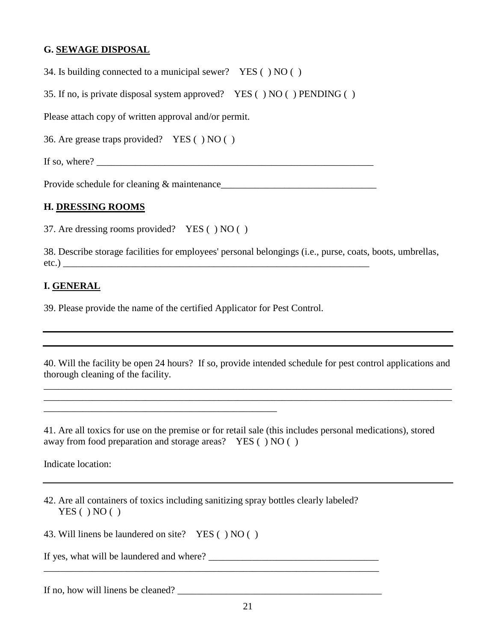## **G. SEWAGE DISPOSAL**

34. Is building connected to a municipal sewer? YES ( ) NO ( )

35. If no, is private disposal system approved? YES ( ) NO ( ) PENDING ( )

Please attach copy of written approval and/or permit.

36. Are grease traps provided? YES ( ) NO ( )

If so, where?  $\frac{1}{2}$  =  $\frac{1}{2}$  =  $\frac{1}{2}$  =  $\frac{1}{2}$  =  $\frac{1}{2}$  =  $\frac{1}{2}$  =  $\frac{1}{2}$  =  $\frac{1}{2}$  =  $\frac{1}{2}$  =  $\frac{1}{2}$  =  $\frac{1}{2}$  =  $\frac{1}{2}$  =  $\frac{1}{2}$  =  $\frac{1}{2}$  =  $\frac{1}{2}$  =  $\frac{1}{2}$  =  $\frac{1}{2}$  =  $\frac$ 

Provide schedule for cleaning  $&$  maintenance

#### **H. DRESSING ROOMS**

37. Are dressing rooms provided? YES ( ) NO ( )

38. Describe storage facilities for employees' personal belongings (i.e., purse, coats, boots, umbrellas,  $etc.)$ 

#### **I. GENERAL**

39. Please provide the name of the certified Applicator for Pest Control.

\_\_\_\_\_\_\_\_\_\_\_\_\_\_\_\_\_\_\_\_\_\_\_\_\_\_\_\_\_\_\_\_\_\_\_\_\_\_\_\_\_\_\_\_\_\_\_\_

40. Will the facility be open 24 hours? If so, provide intended schedule for pest control applications and thorough cleaning of the facility.

\_\_\_\_\_\_\_\_\_\_\_\_\_\_\_\_\_\_\_\_\_\_\_\_\_\_\_\_\_\_\_\_\_\_\_\_\_\_\_\_\_\_\_\_\_\_\_\_\_\_\_\_\_\_\_\_\_\_\_\_\_\_\_\_\_\_\_\_\_\_\_\_\_\_\_\_\_\_\_\_\_\_\_\_ \_\_\_\_\_\_\_\_\_\_\_\_\_\_\_\_\_\_\_\_\_\_\_\_\_\_\_\_\_\_\_\_\_\_\_\_\_\_\_\_\_\_\_\_\_\_\_\_\_\_\_\_\_\_\_\_\_\_\_\_\_\_\_\_\_\_\_\_\_\_\_\_\_\_\_\_\_\_\_\_\_\_\_\_

41. Are all toxics for use on the premise or for retail sale (this includes personal medications), stored away from food preparation and storage areas? YES ( ) NO ( )

Indicate location:

42. Are all containers of toxics including sanitizing spray bottles clearly labeled?  $YES( ) NO( )$ 

\_\_\_\_\_\_\_\_\_\_\_\_\_\_\_\_\_\_\_\_\_\_\_\_\_\_\_\_\_\_\_\_\_\_\_\_\_\_\_\_\_\_\_\_\_\_\_\_\_\_\_\_\_\_\_\_\_\_\_\_\_\_\_\_\_\_\_\_\_

43. Will linens be laundered on site? YES ( ) NO ( )

If yes, what will be laundered and where?

If no, how will linens be cleaned?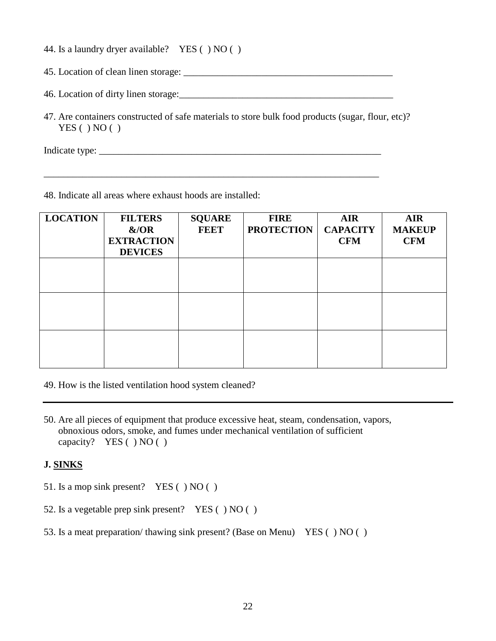- 44. Is a laundry dryer available? YES ( ) NO ( )
- 45. Location of clean linen storage: \_\_\_\_\_\_\_\_\_\_\_\_\_\_\_\_\_\_\_\_\_\_\_\_\_\_\_\_\_\_\_\_\_\_\_\_\_\_\_\_\_\_\_
- 46. Location of dirty linen storage:\_\_\_\_\_\_\_\_\_\_\_\_\_\_\_\_\_\_\_\_\_\_\_\_\_\_\_\_\_\_\_\_\_\_\_\_\_\_\_\_\_\_\_\_
- 47. Are containers constructed of safe materials to store bulk food products (sugar, flour, etc)?  $YES( ) NO( )$

Indicate type: \_\_\_\_\_\_\_\_\_\_\_\_\_\_\_\_\_\_\_\_\_\_\_\_\_\_\_\_\_\_\_\_\_\_\_\_\_\_\_\_\_\_\_\_\_\_\_\_\_\_\_\_\_\_\_\_\_\_

48. Indicate all areas where exhaust hoods are installed:

| <b>LOCATION</b> | <b>FILTERS</b><br>$\&/OR$<br><b>EXTRACTION</b><br><b>DEVICES</b> | <b>SQUARE</b><br><b>FEET</b> | <b>FIRE</b><br><b>PROTECTION</b> | <b>AIR</b><br><b>CAPACITY</b><br><b>CFM</b> | <b>AIR</b><br><b>MAKEUP</b><br><b>CFM</b> |
|-----------------|------------------------------------------------------------------|------------------------------|----------------------------------|---------------------------------------------|-------------------------------------------|
|                 |                                                                  |                              |                                  |                                             |                                           |
|                 |                                                                  |                              |                                  |                                             |                                           |
|                 |                                                                  |                              |                                  |                                             |                                           |

\_\_\_\_\_\_\_\_\_\_\_\_\_\_\_\_\_\_\_\_\_\_\_\_\_\_\_\_\_\_\_\_\_\_\_\_\_\_\_\_\_\_\_\_\_\_\_\_\_\_\_\_\_\_\_\_\_\_\_\_\_\_\_\_\_\_\_\_\_

- 49. How is the listed ventilation hood system cleaned?
- 50. Are all pieces of equipment that produce excessive heat, steam, condensation, vapors, obnoxious odors, smoke, and fumes under mechanical ventilation of sufficient capacity? YES ( ) NO ( )

#### **J. SINKS**

- 51. Is a mop sink present? YES ( ) NO ( )
- 52. Is a vegetable prep sink present? YES ( ) NO ( )
- 53. Is a meat preparation/ thawing sink present? (Base on Menu) YES ( ) NO ( )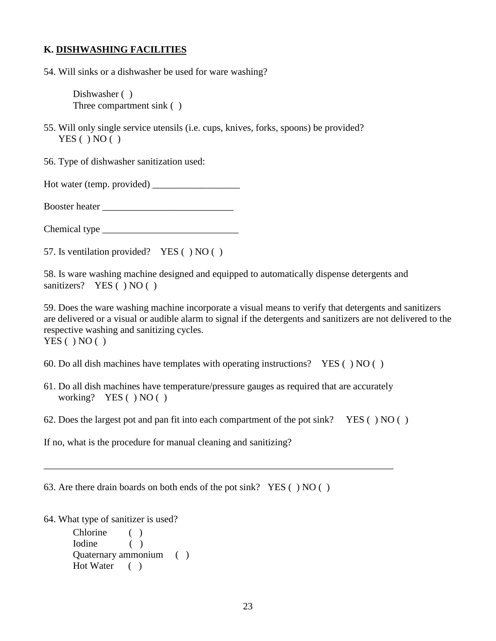#### **K. DISHWASHING FACILITIES**

54. Will sinks or a dishwasher be used for ware washing?

Dishwasher ( ) Three compartment sink ( )

55. Will only single service utensils (i.e. cups, knives, forks, spoons) be provided? YES ( ) NO ( )

56. Type of dishwasher sanitization used:

Hot water (temp. provided) \_\_\_\_\_\_\_\_\_\_\_\_\_\_\_\_\_\_

Booster heater \_\_\_\_\_\_\_\_\_\_\_\_\_\_\_\_\_\_\_\_\_\_\_\_\_\_\_

Chemical type \_\_\_\_\_\_\_\_\_\_\_\_\_\_\_\_\_\_\_\_\_\_\_\_\_\_\_\_

57. Is ventilation provided? YES ( ) NO ( )

58. Is ware washing machine designed and equipped to automatically dispense detergents and sanitizers? YES () NO ()

59. Does the ware washing machine incorporate a visual means to verify that detergents and sanitizers are delivered or a visual or audible alarm to signal if the detergents and sanitizers are not delivered to the respective washing and sanitizing cycles.  $YES( ) NO( )$ 

60. Do all dish machines have templates with operating instructions? YES ( ) NO ( )

61. Do all dish machines have temperature/pressure gauges as required that are accurately working? YES ( ) NO ( )

\_\_\_\_\_\_\_\_\_\_\_\_\_\_\_\_\_\_\_\_\_\_\_\_\_\_\_\_\_\_\_\_\_\_\_\_\_\_\_\_\_\_\_\_\_\_\_\_\_\_\_\_\_\_\_\_\_\_\_\_\_\_\_\_\_\_\_\_\_\_\_\_

62. Does the largest pot and pan fit into each compartment of the pot sink? YES ( $\setminus$ NO ()

If no, what is the procedure for manual cleaning and sanitizing?

63. Are there drain boards on both ends of the pot sink? YES ( ) NO ( )

64. What type of sanitizer is used?

Chlorine ( ) Iodine ( ) Quaternary ammonium ( ) Hot Water ( )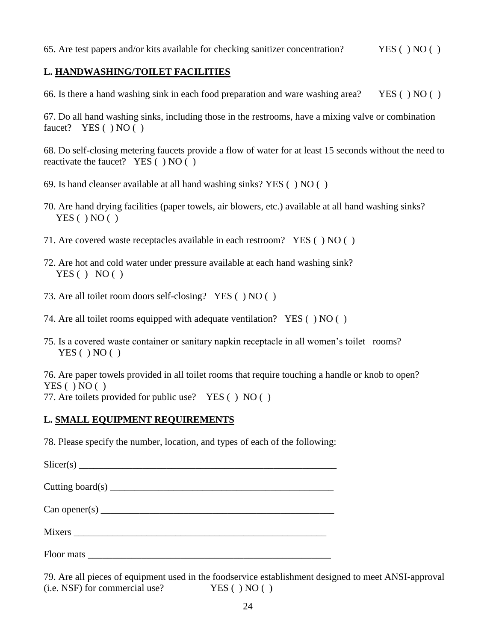65. Are test papers and/or kits available for checking sanitizer concentration? YES ( ) NO ( )

#### **L. HANDWASHING/TOILET FACILITIES**

66. Is there a hand washing sink in each food preparation and ware washing area? YES ( ) NO ( )

67. Do all hand washing sinks, including those in the restrooms, have a mixing valve or combination faucet? YES () NO ()

68. Do self-closing metering faucets provide a flow of water for at least 15 seconds without the need to reactivate the faucet? YES ( ) NO ( )

- 69. Is hand cleanser available at all hand washing sinks? YES ( ) NO ( )
- 70. Are hand drying facilities (paper towels, air blowers, etc.) available at all hand washing sinks?  $YES( ) NO( )$
- 71. Are covered waste receptacles available in each restroom? YES ( ) NO ( )
- 72. Are hot and cold water under pressure available at each hand washing sink?  $YES() NO()$
- 73. Are all toilet room doors self-closing? YES ( ) NO ( )
- 74. Are all toilet rooms equipped with adequate ventilation? YES ( ) NO ( )
- 75. Is a covered waste container or sanitary napkin receptacle in all women's toilet rooms?  $YES( ) NO( )$

76. Are paper towels provided in all toilet rooms that require touching a handle or knob to open?  $YES( ) NO( )$ 77. Are toilets provided for public use? YES ( ) NO ( )

#### **L. SMALL EQUIPMENT REQUIREMENTS**

78. Please specify the number, location, and types of each of the following:

 $\text{Sliceer}(s)$ 

Cutting board(s) \_\_\_\_\_\_\_\_\_\_\_\_\_\_\_\_\_\_\_\_\_\_\_\_\_\_\_\_\_\_\_\_\_\_\_\_\_\_\_\_\_\_\_\_\_\_

 $Can operator(s)$ 

Mixers \_\_\_\_\_\_\_\_\_\_\_\_\_\_\_\_\_\_\_\_\_\_\_\_\_\_\_\_\_\_\_\_\_\_\_\_\_\_\_\_\_\_\_\_\_\_\_\_\_\_\_\_

Floor mats \_\_\_\_\_\_\_\_\_\_\_\_\_\_\_\_\_\_\_\_\_\_\_\_\_\_\_\_\_\_\_\_\_\_\_\_\_\_\_\_\_\_\_\_\_\_\_\_\_\_

79. Are all pieces of equipment used in the foodservice establishment designed to meet ANSI-approval (i.e. NSF) for commercial use? YES ( ) NO ( )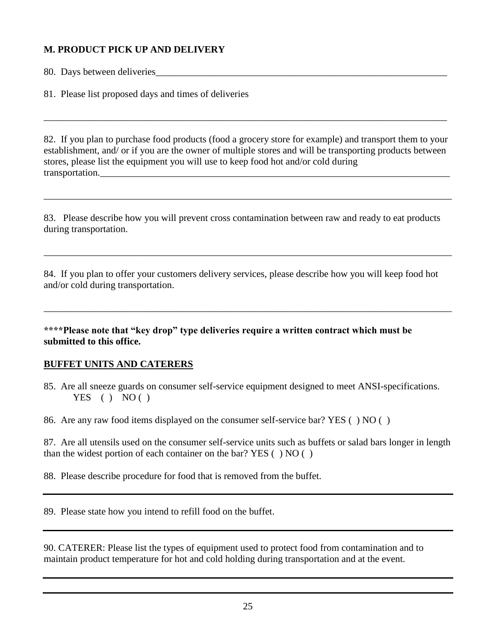## **M. PRODUCT PICK UP AND DELIVERY**

80. Days between deliveries\_\_\_\_\_\_\_\_\_\_\_\_\_\_\_\_\_\_\_\_\_\_\_\_\_\_\_\_\_\_\_\_\_\_\_\_\_\_\_\_\_\_\_\_\_\_\_\_\_\_\_\_\_\_\_\_\_\_\_\_

81. Please list proposed days and times of deliveries

82. If you plan to purchase food products (food a grocery store for example) and transport them to your establishment, and/ or if you are the owner of multiple stores and will be transporting products between stores, please list the equipment you will use to keep food hot and/or cold during transportation.

\_\_\_\_\_\_\_\_\_\_\_\_\_\_\_\_\_\_\_\_\_\_\_\_\_\_\_\_\_\_\_\_\_\_\_\_\_\_\_\_\_\_\_\_\_\_\_\_\_\_\_\_\_\_\_\_\_\_\_\_\_\_\_\_\_\_\_\_\_\_\_\_\_\_\_\_\_\_\_\_\_\_\_\_

\_\_\_\_\_\_\_\_\_\_\_\_\_\_\_\_\_\_\_\_\_\_\_\_\_\_\_\_\_\_\_\_\_\_\_\_\_\_\_\_\_\_\_\_\_\_\_\_\_\_\_\_\_\_\_\_\_\_\_\_\_\_\_\_\_\_\_\_\_\_\_\_\_\_\_\_\_\_\_\_\_\_\_

83. Please describe how you will prevent cross contamination between raw and ready to eat products during transportation.

\_\_\_\_\_\_\_\_\_\_\_\_\_\_\_\_\_\_\_\_\_\_\_\_\_\_\_\_\_\_\_\_\_\_\_\_\_\_\_\_\_\_\_\_\_\_\_\_\_\_\_\_\_\_\_\_\_\_\_\_\_\_\_\_\_\_\_\_\_\_\_\_\_\_\_\_\_\_\_\_\_\_\_\_

\_\_\_\_\_\_\_\_\_\_\_\_\_\_\_\_\_\_\_\_\_\_\_\_\_\_\_\_\_\_\_\_\_\_\_\_\_\_\_\_\_\_\_\_\_\_\_\_\_\_\_\_\_\_\_\_\_\_\_\_\_\_\_\_\_\_\_\_\_\_\_\_\_\_\_\_\_\_\_\_\_\_\_\_

84. If you plan to offer your customers delivery services, please describe how you will keep food hot and/or cold during transportation.

**\*\*\*\*Please note that "key drop" type deliveries require a written contract which must be submitted to this office.**

#### **BUFFET UNITS AND CATERERS**

85. Are all sneeze guards on consumer self-service equipment designed to meet ANSI-specifications.  $YES$  ( )  $NO()$ 

86. Are any raw food items displayed on the consumer self-service bar? YES ( ) NO ( )

87. Are all utensils used on the consumer self-service units such as buffets or salad bars longer in length than the widest portion of each container on the bar? YES ( ) NO ( )

88. Please describe procedure for food that is removed from the buffet.

89. Please state how you intend to refill food on the buffet.

90. CATERER: Please list the types of equipment used to protect food from contamination and to maintain product temperature for hot and cold holding during transportation and at the event.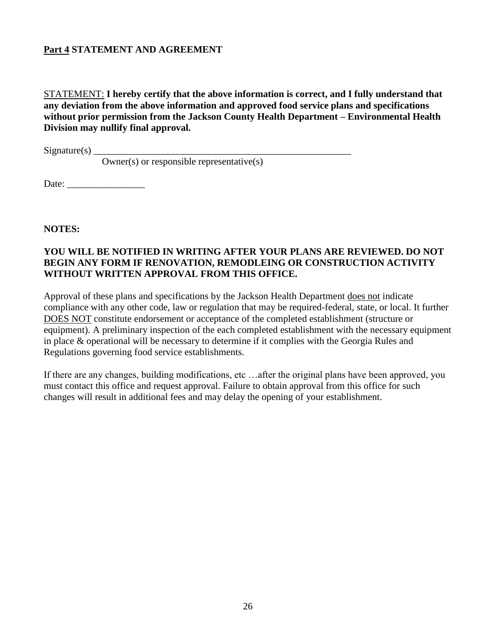#### **Part 4 STATEMENT AND AGREEMENT**

STATEMENT: **I hereby certify that the above information is correct, and I fully understand that any deviation from the above information and approved food service plans and specifications without prior permission from the Jackson County Health Department – Environmental Health Division may nullify final approval.**

 $Signature(s)$ 

Owner(s) or responsible representative(s)

Date: \_\_\_\_\_\_\_\_\_\_\_\_\_\_\_\_

**NOTES:**

#### **YOU WILL BE NOTIFIED IN WRITING AFTER YOUR PLANS ARE REVIEWED. DO NOT BEGIN ANY FORM IF RENOVATION, REMODLEING OR CONSTRUCTION ACTIVITY WITHOUT WRITTEN APPROVAL FROM THIS OFFICE.**

Approval of these plans and specifications by the Jackson Health Department does not indicate compliance with any other code, law or regulation that may be required-federal, state, or local. It further DOES NOT constitute endorsement or acceptance of the completed establishment (structure or equipment). A preliminary inspection of the each completed establishment with the necessary equipment in place & operational will be necessary to determine if it complies with the Georgia Rules and Regulations governing food service establishments.

If there are any changes, building modifications, etc …after the original plans have been approved, you must contact this office and request approval. Failure to obtain approval from this office for such changes will result in additional fees and may delay the opening of your establishment.